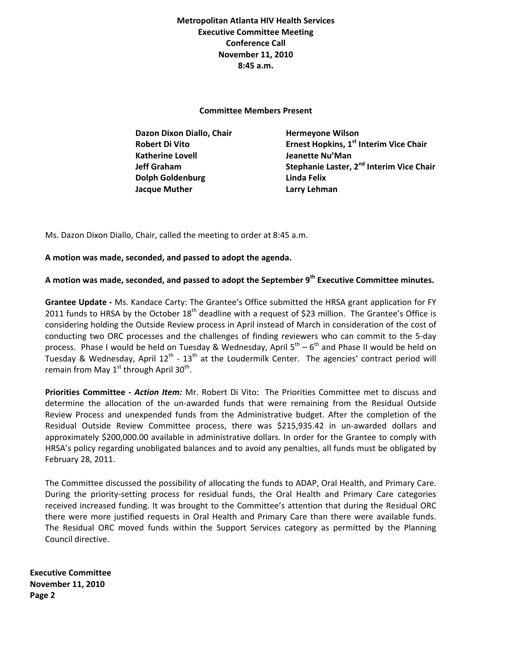**Metropolitan Atlanta HIV Health Services Executive Committee Meeting Conference Call November 11, 2010 8:45 a.m.** 

**Committee Members Present** 

 **Dazon Dixon Diallo, Chair Hermeyone Wilson Katherine Lovell Jeanette Nu'Man Dolph Goldenburg Linda Felix Jacque Muther Larry Lehman**

 **Robert Di Vito Ernest Hopkins, 1st Interim Vice Chair Jeff Graham Stephanie Laster, 2nd Interim Vice Chair** 

Ms. Dazon Dixon Diallo, Chair, called the meeting to order at 8:45 a.m.

## **A motion was made, seconded, and passed to adopt the agenda.**

**A motion was made, seconded, and passed to adopt the September 9th Executive Committee minutes.**

**Grantee Update ‐** Ms. Kandace Carty: The Grantee's Office submitted the HRSA grant application for FY 2011 funds to HRSA by the October  $18<sup>th</sup>$  deadline with a request of \$23 million. The Grantee's Office is considering holding the Outside Review process in April instead of March in consideration of the cost of conducting two ORC processes and the challenges of finding reviewers who can commit to the 5‐day process. Phase I would be held on Tuesday & Wednesday, April  $5^{th} - 6^{th}$  and Phase II would be held on Tuesday & Wednesday, April  $12^{th}$  -  $13^{th}$  at the Loudermilk Center. The agencies' contract period will remain from May  $1<sup>st</sup>$  through April 30<sup>th</sup>.

**Priorities Committee ‐** *Action Item:* Mr. Robert Di Vito: The Priorities Committee met to discuss and determine the allocation of the un-awarded funds that were remaining from the Residual Outside Review Process and unexpended funds from the Administrative budget. After the completion of the Residual Outside Review Committee process, there was \$215,935.42 in un-awarded dollars and approximately \$200,000.00 available in administrative dollars. In order for the Grantee to comply with HRSA's policy regarding unobligated balances and to avoid any penalties, all funds must be obligated by February 28, 2011.

The Committee discussed the possibility of allocating the funds to ADAP, Oral Health, and Primary Care. During the priority‐setting process for residual funds, the Oral Health and Primary Care categories received increased funding. It was brought to the Committee's attention that during the Residual ORC there were more justified requests in Oral Health and Primary Care than there were available funds. The Residual ORC moved funds within the Support Services category as permitted by the Planning Council directive.

**Executive Committee November 11, 2010 Page 2**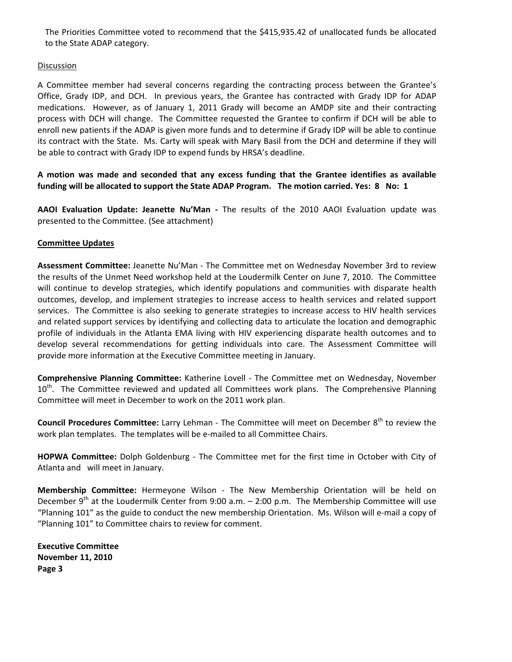The Priorities Committee voted to recommend that the \$415,935.42 of unallocated funds be allocated to the State ADAP category.

## **Discussion**

A Committee member had several concerns regarding the contracting process between the Grantee's Office, Grady IDP, and DCH. In previous years, the Grantee has contracted with Grady IDP for ADAP medications. However, as of January 1, 2011 Grady will become an AMDP site and their contracting process with DCH will change. The Committee requested the Grantee to confirm if DCH will be able to enroll new patients if the ADAP is given more funds and to determine if Grady IDP will be able to continue its contract with the State. Ms. Carty will speak with Mary Basil from the DCH and determine if they will be able to contract with Grady IDP to expend funds by HRSA's deadline.

**A motion was made and seconded that any excess funding that the Grantee identifies as available** funding will be allocated to support the State ADAP Program. The motion carried. Yes: 8 No: 1

**AAOI Evaluation Update: Jeanette Nu'Man ‐**  The results of the 2010 AAOI Evaluation update was presented to the Committee. (See attachment)

## **Committee Updates**

**Assessment Committee:** Jeanette Nu'Man ‐ The Committee met on Wednesday November 3rd to review the results of the Unmet Need workshop held at the Loudermilk Center on June 7, 2010. The Committee will continue to develop strategies, which identify populations and communities with disparate health outcomes, develop, and implement strategies to increase access to health services and related support services. The Committee is also seeking to generate strategies to increase access to HIV health services and related support services by identifying and collecting data to articulate the location and demographic profile of individuals in the Atlanta EMA living with HIV experiencing disparate health outcomes and to develop several recommendations for getting individuals into care. The Assessment Committee will provide more information at the Executive Committee meeting in January.

**Comprehensive Planning Committee:** Katherine Lovell ‐ The Committee met on Wednesday, November  $10<sup>th</sup>$ . The Committee reviewed and updated all Committees work plans. The Comprehensive Planning Committee will meet in December to work on the 2011 work plan.

**Council Procedures Committee:** Larry Lehman ‐ The Committee will meet on December 8th to review the work plan templates. The templates will be e-mailed to all Committee Chairs.

**HOPWA Committee:** Dolph Goldenburg ‐ The Committee met for the first time in October with City of Atlanta and will meet in January.

**Membership Committee:** Hermeyone Wilson ‐ The New Membership Orientation will be held on December  $9<sup>th</sup>$  at the Loudermilk Center from 9:00 a.m.  $-$  2:00 p.m. The Membership Committee will use "Planning 101" as the guide to conduct the new membership Orientation. Ms. Wilson will e‐mail a copy of "Planning 101" to Committee chairs to review for comment.

**Executive Committee November 11, 2010 Page 3**